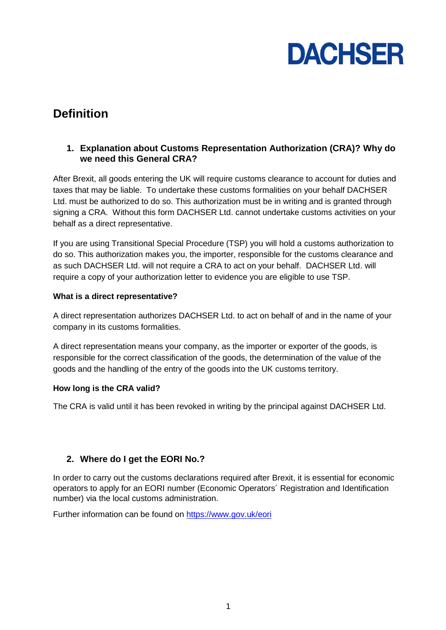

# **Definition**

## **1. Explanation about Customs Representation Authorization (CRA)? Why do we need this General CRA?**

After Brexit, all goods entering the UK will require customs clearance to account for duties and taxes that may be liable. To undertake these customs formalities on your behalf DACHSER Ltd. must be authorized to do so. This authorization must be in writing and is granted through signing a CRA. Without this form DACHSER Ltd. cannot undertake customs activities on your behalf as a direct representative.

If you are using Transitional Special Procedure (TSP) you will hold a customs authorization to do so. This authorization makes you, the importer, responsible for the customs clearance and as such DACHSER Ltd. will not require a CRA to act on your behalf. DACHSER Ltd. will require a copy of your authorization letter to evidence you are eligible to use TSP.

### **What is a direct representative?**

A direct representation authorizes DACHSER Ltd. to act on behalf of and in the name of your company in its customs formalities.

A direct representation means your company, as the importer or exporter of the goods, is responsible for the correct classification of the goods, the determination of the value of the goods and the handling of the entry of the goods into the UK customs territory.

### **How long is the CRA valid?**

The CRA is valid until it has been revoked in writing by the principal against DACHSER Ltd.

### **2. Where do I get the EORI No.?**

In order to carry out the customs declarations required after Brexit, it is essential for economic operators to apply for an EORI number (Economic Operators´ Registration and Identification number) via the local customs administration.

Further information can be found on <https://www.gov.uk/eori>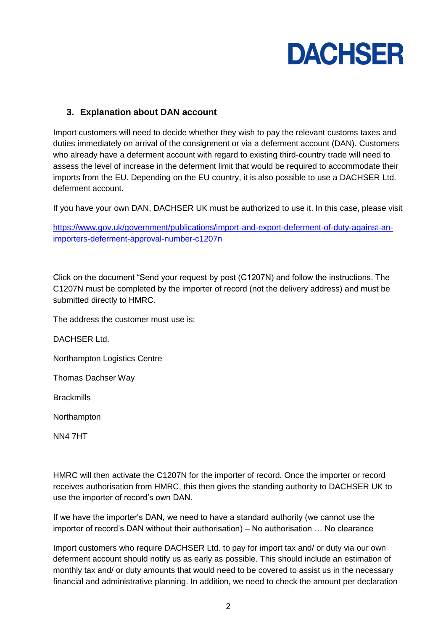

## **3. Explanation about DAN account**

Import customers will need to decide whether they wish to pay the relevant customs taxes and duties immediately on arrival of the consignment or via a deferment account (DAN). Customers who already have a deferment account with regard to existing third-country trade will need to assess the level of increase in the deferment limit that would be required to accommodate their imports from the EU. Depending on the EU country, it is also possible to use a DACHSER Ltd. deferment account.

If you have your own DAN, DACHSER UK must be authorized to use it. In this case, please visit

[https://www.gov.uk/government/publications/import-and-export-deferment-of-duty-against-an](https://www.gov.uk/government/publications/import-and-export-deferment-of-duty-against-an-importers-deferment-approval-number-c1207n)[importers-deferment-approval-number-c1207n](https://www.gov.uk/government/publications/import-and-export-deferment-of-duty-against-an-importers-deferment-approval-number-c1207n)

Click on the document "Send your request by post (C1207N) and follow the instructions. The C1207N must be completed by the importer of record (not the delivery address) and must be submitted directly to HMRC.

The address the customer must use is:

DACHSER Ltd.

Northampton Logistics Centre

Thomas Dachser Way

**Brackmills** 

Northampton

NN4 7HT

HMRC will then activate the C1207N for the importer of record. Once the importer or record receives authorisation from HMRC, this then gives the standing authority to DACHSER UK to use the importer of record's own DAN.

If we have the importer's DAN, we need to have a standard authority (we cannot use the importer of record's DAN without their authorisation) – No authorisation … No clearance

Import customers who require DACHSER Ltd. to pay for import tax and/ or duty via our own deferment account should notify us as early as possible. This should include an estimation of monthly tax and/ or duty amounts that would need to be covered to assist us in the necessary financial and administrative planning. In addition, we need to check the amount per declaration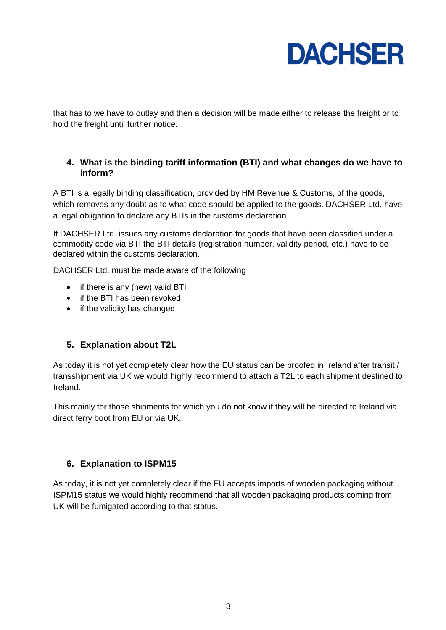

that has to we have to outlay and then a decision will be made either to release the freight or to hold the freight until further notice.

## **4. What is the binding tariff information (BTI) and what changes do we have to inform?**

A BTI is a legally binding classification, provided by HM Revenue & Customs, of the goods, which removes any doubt as to what code should be applied to the goods. DACHSER Ltd. have a legal obligation to declare any BTIs in the customs declaration

If DACHSER Ltd. issues any customs declaration for goods that have been classified under a commodity code via BTI the BTI details (registration number, validity period, etc.) have to be declared within the customs declaration.

DACHSER Ltd. must be made aware of the following

- $\bullet$  if there is any (new) valid BTI
- if the BTI has been revoked
- if the validity has changed

### **5. Explanation about T2L**

As today it is not yet completely clear how the EU status can be proofed in Ireland after transit / transshipment via UK we would highly recommend to attach a T2L to each shipment destined to Ireland.

This mainly for those shipments for which you do not know if they will be directed to Ireland via direct ferry boot from EU or via UK.

# **6. Explanation to ISPM15**

As today, it is not yet completely clear if the EU accepts imports of wooden packaging without ISPM15 status we would highly recommend that all wooden packaging products coming from UK will be fumigated according to that status.